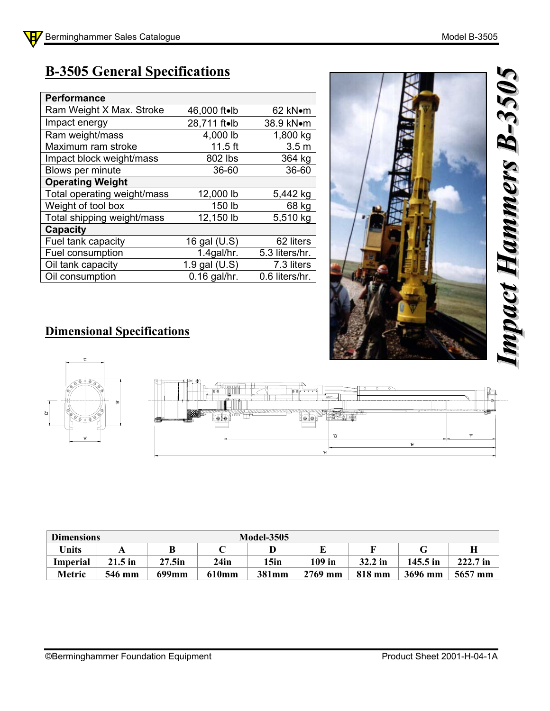## **B-3505 General Specifications**

| <b>Performance</b>          |                |                  |
|-----------------------------|----------------|------------------|
| Ram Weight X Max. Stroke    | 46,000 ft•lb   | 62 kN•m          |
| Impact energy               | 28,711 ft.lb   | 38.9 kN•m        |
| Ram weight/mass             | 4,000 lb       | 1,800 kg         |
| Maximum ram stroke          | $11.5$ ft      | 3.5 <sub>m</sub> |
| Impact block weight/mass    | 802 lbs        | 364 kg           |
| Blows per minute            | 36-60          | 36-60            |
| <b>Operating Weight</b>     |                |                  |
| Total operating weight/mass | 12,000 lb      | 5,442 kg         |
| Weight of tool box          | 150 lb         | 68 kg            |
| Total shipping weight/mass  | 12,150 lb      | 5,510 kg         |
| Capacity                    |                |                  |
| Fuel tank capacity          | 16 gal (U.S)   | 62 liters        |
| Fuel consumption            | $1.4$ gal/hr.  | 5.3 liters/hr.   |
| Oil tank capacity           | 1.9 gal (U.S)  | 7.3 liters       |
| Oil consumption             | $0.16$ gal/hr. | 0.6 liters/hr.   |



## **Dimensional Specifications**



| <b>Dimensions</b> |           | <b>Model-3505</b> |       |       |          |           |          |           |  |
|-------------------|-----------|-------------------|-------|-------|----------|-----------|----------|-----------|--|
| <b>Units</b>      |           |                   |       |       |          |           |          |           |  |
| <b>Imperial</b>   | $21.5$ in | $27.5$ in         | 24in  | 15in  | $109$ in | $32.2$ in | 145.5 in | 222.7 in  |  |
| Metric            | 546 mm    | 699mm             | 610mm | 381mm | 2769 mm  | 818 mm    | 3696 mm  | $5657$ mm |  |